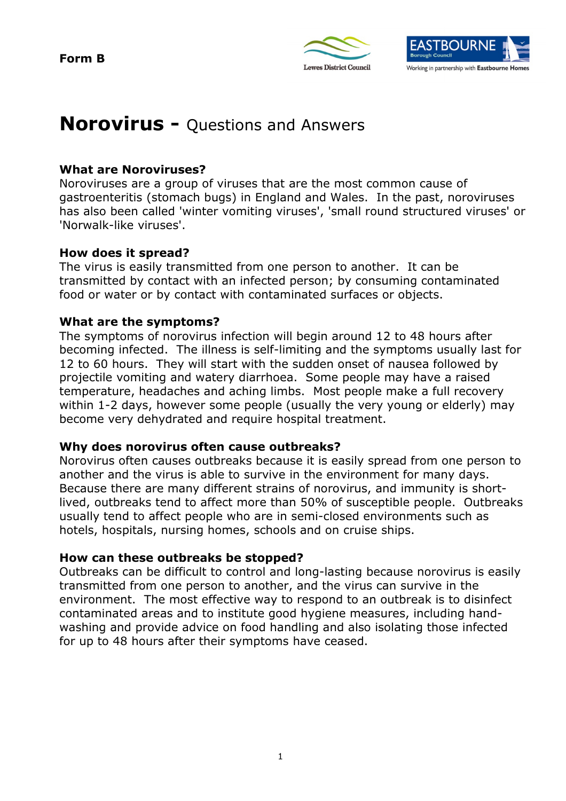**Form B** 





# **Norovirus -** Questions and Answers

## **What are Noroviruses?**

 Noroviruses are a group of viruses that are the most common cause of gastroenteritis (stomach bugs) in England and Wales. In the past, noroviruses has also been called 'winter vomiting viruses', 'small round structured viruses' or 'Norwalk-like viruses'.

## **How does it spread?**

 The virus is easily transmitted from one person to another. It can be transmitted by contact with an infected person; by consuming contaminated food or water or by contact with contaminated surfaces or objects.

## **What are the symptoms?**

 The symptoms of norovirus infection will begin around 12 to 48 hours after becoming infected. The illness is self-limiting and the symptoms usually last for 12 to 60 hours. They will start with the sudden onset of nausea followed by projectile vomiting and watery diarrhoea. Some people may have a raised temperature, headaches and aching limbs. Most people make a full recovery within 1-2 days, however some people (usually the very young or elderly) may become very dehydrated and require hospital treatment.

## **Why does norovirus often cause outbreaks?**

 Norovirus often causes outbreaks because it is easily spread from one person to another and the virus is able to survive in the environment for many days. Because there are many different strains of norovirus, and immunity is short- lived, outbreaks tend to affect more than 50% of susceptible people. Outbreaks usually tend to affect people who are in semi-closed environments such as hotels, hospitals, nursing homes, schools and on cruise ships.

## **How can these outbreaks be stopped?**

 Outbreaks can be difficult to control and long-lasting because norovirus is easily transmitted from one person to another, and the virus can survive in the environment. The most effective way to respond to an outbreak is to disinfect contaminated areas and to institute good hygiene measures, including hand- washing and provide advice on food handling and also isolating those infected for up to 48 hours after their symptoms have ceased.